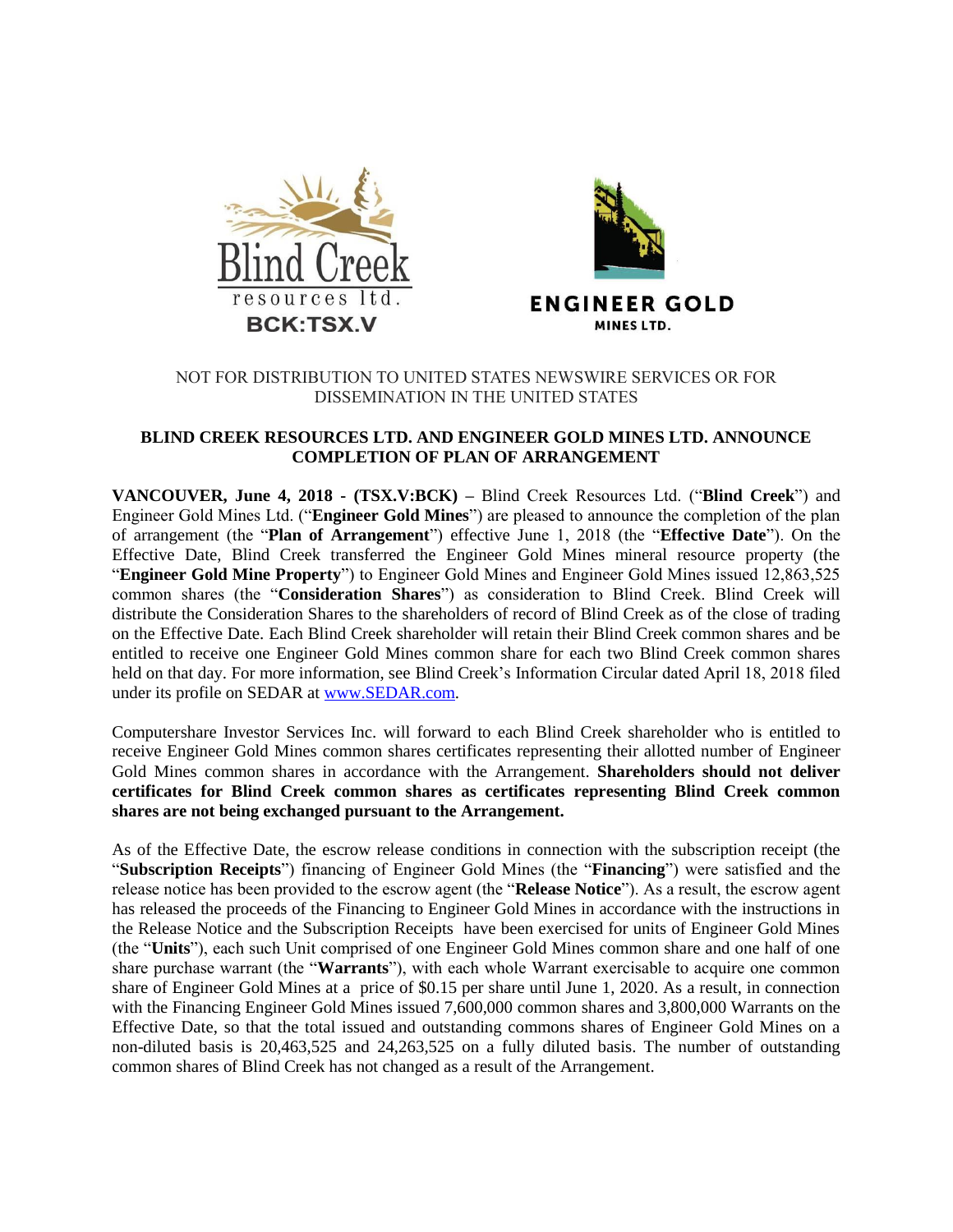



# NOT FOR DISTRIBUTION TO UNITED STATES NEWSWIRE SERVICES OR FOR DISSEMINATION IN THE UNITED STATES

# **BLIND CREEK RESOURCES LTD. AND ENGINEER GOLD MINES LTD. ANNOUNCE COMPLETION OF PLAN OF ARRANGEMENT**

**VANCOUVER, June 4, 2018 - (TSX.V:BCK) –** Blind Creek Resources Ltd. ("**Blind Creek**") and Engineer Gold Mines Ltd. ("**Engineer Gold Mines**") are pleased to announce the completion of the plan of arrangement (the "**Plan of Arrangement**") effective June 1, 2018 (the "**Effective Date**"). On the Effective Date, Blind Creek transferred the Engineer Gold Mines mineral resource property (the "**Engineer Gold Mine Property**") to Engineer Gold Mines and Engineer Gold Mines issued 12,863,525 common shares (the "**Consideration Shares**") as consideration to Blind Creek. Blind Creek will distribute the Consideration Shares to the shareholders of record of Blind Creek as of the close of trading on the Effective Date. Each Blind Creek shareholder will retain their Blind Creek common shares and be entitled to receive one Engineer Gold Mines common share for each two Blind Creek common shares held on that day. For more information, see Blind Creek's Information Circular dated April 18, 2018 filed under its profile on SEDAR at [www.SEDAR.com.](http://www.sedar.com/)

Computershare Investor Services Inc. will forward to each Blind Creek shareholder who is entitled to receive Engineer Gold Mines common shares certificates representing their allotted number of Engineer Gold Mines common shares in accordance with the Arrangement. **Shareholders should not deliver certificates for Blind Creek common shares as certificates representing Blind Creek common shares are not being exchanged pursuant to the Arrangement.**

As of the Effective Date, the escrow release conditions in connection with the subscription receipt (the "**Subscription Receipts**") financing of Engineer Gold Mines (the "**Financing**") were satisfied and the release notice has been provided to the escrow agent (the "**Release Notice**"). As a result, the escrow agent has released the proceeds of the Financing to Engineer Gold Mines in accordance with the instructions in the Release Notice and the Subscription Receipts have been exercised for units of Engineer Gold Mines (the "**Units**"), each such Unit comprised of one Engineer Gold Mines common share and one half of one share purchase warrant (the "**Warrants**"), with each whole Warrant exercisable to acquire one common share of Engineer Gold Mines at a price of \$0.15 per share until June 1, 2020. As a result, in connection with the Financing Engineer Gold Mines issued 7,600,000 common shares and 3,800,000 Warrants on the Effective Date, so that the total issued and outstanding commons shares of Engineer Gold Mines on a non-diluted basis is 20,463,525 and 24,263,525 on a fully diluted basis. The number of outstanding common shares of Blind Creek has not changed as a result of the Arrangement.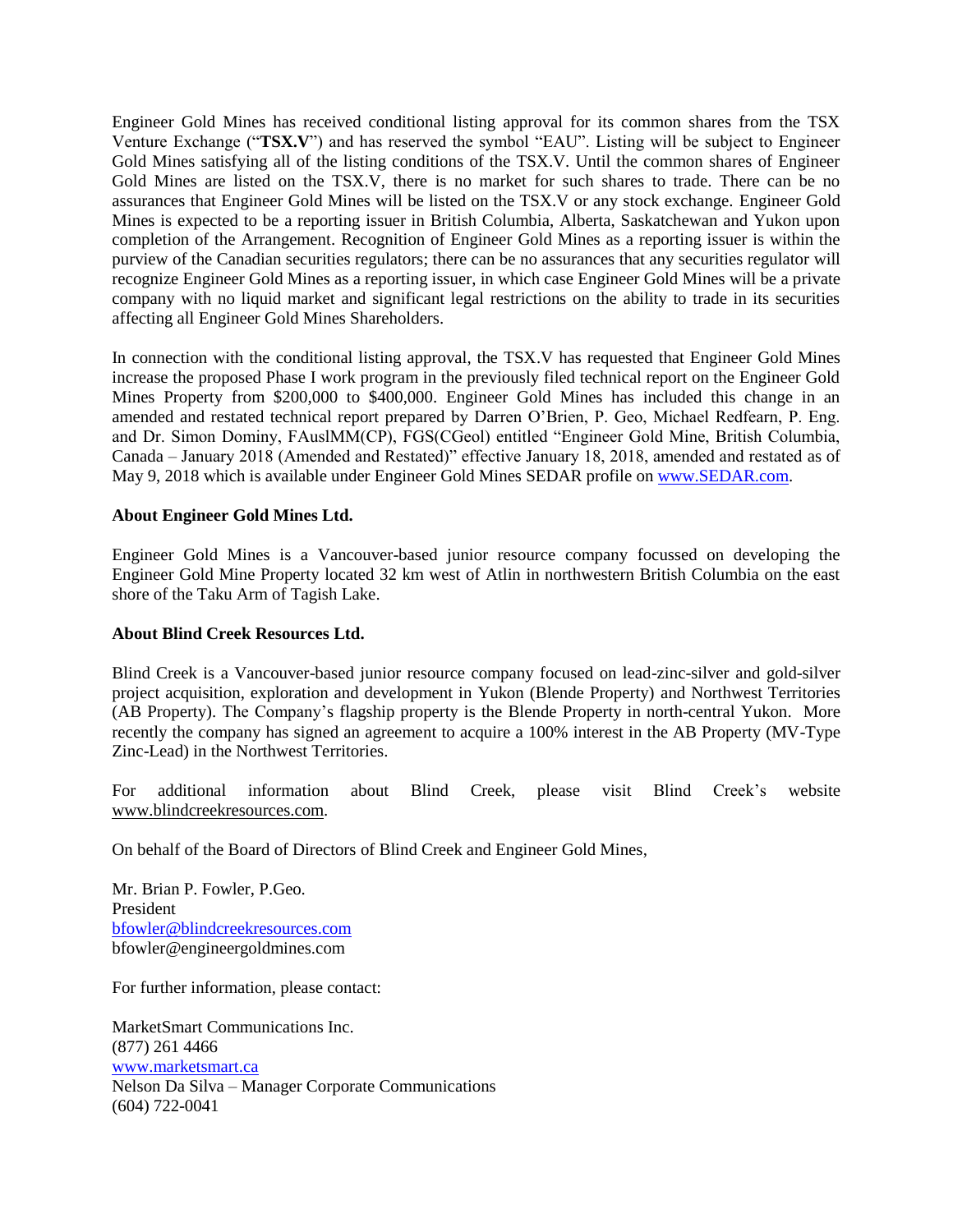Engineer Gold Mines has received conditional listing approval for its common shares from the TSX Venture Exchange ("**TSX.V**") and has reserved the symbol "EAU". Listing will be subject to Engineer Gold Mines satisfying all of the listing conditions of the TSX.V. Until the common shares of Engineer Gold Mines are listed on the TSX.V, there is no market for such shares to trade. There can be no assurances that Engineer Gold Mines will be listed on the TSX.V or any stock exchange. Engineer Gold Mines is expected to be a reporting issuer in British Columbia, Alberta, Saskatchewan and Yukon upon completion of the Arrangement. Recognition of Engineer Gold Mines as a reporting issuer is within the purview of the Canadian securities regulators; there can be no assurances that any securities regulator will recognize Engineer Gold Mines as a reporting issuer, in which case Engineer Gold Mines will be a private company with no liquid market and significant legal restrictions on the ability to trade in its securities affecting all Engineer Gold Mines Shareholders.

In connection with the conditional listing approval, the TSX.V has requested that Engineer Gold Mines increase the proposed Phase I work program in the previously filed technical report on the Engineer Gold Mines Property from \$200,000 to \$400,000. Engineer Gold Mines has included this change in an amended and restated technical report prepared by Darren O'Brien, P. Geo, Michael Redfearn, P. Eng. and Dr. Simon Dominy, FAuslMM(CP), FGS(CGeol) entitled "Engineer Gold Mine, British Columbia, Canada – January 2018 (Amended and Restated)" effective January 18, 2018, amended and restated as of May 9, 2018 which is available under Engineer Gold Mines SEDAR profile o[n www.SEDAR.com.](http://www.sedar.com/)

### **About Engineer Gold Mines Ltd.**

Engineer Gold Mines is a Vancouver-based junior resource company focussed on developing the Engineer Gold Mine Property located 32 km west of Atlin in northwestern British Columbia on the east shore of the Taku Arm of Tagish Lake.

### **About Blind Creek Resources Ltd.**

Blind Creek is a Vancouver-based junior resource company focused on lead-zinc-silver and gold-silver project acquisition, exploration and development in Yukon (Blende Property) and Northwest Territories (AB Property). The Company's flagship property is the Blende Property in north-central Yukon. More recently the company has signed an agreement to acquire a 100% interest in the AB Property (MV-Type Zinc-Lead) in the Northwest Territories.

For additional information about Blind Creek, please visit Blind Creek's website [www.blindcreekresources.com.](http://www.blindcreekresources.com/)

On behalf of the Board of Directors of Blind Creek and Engineer Gold Mines,

Mr. Brian P. Fowler, P.Geo. President [bfowler@blindcreekresources.com](mailto:bfowler@blindcreekresources.com) bfowler@engineergoldmines.com

For further information, please contact:

MarketSmart Communications Inc. (877) 261 4466 [www.marketsmart.ca](http://www.marketsmart.ca/) Nelson Da Silva – Manager Corporate Communications (604) 722-0041